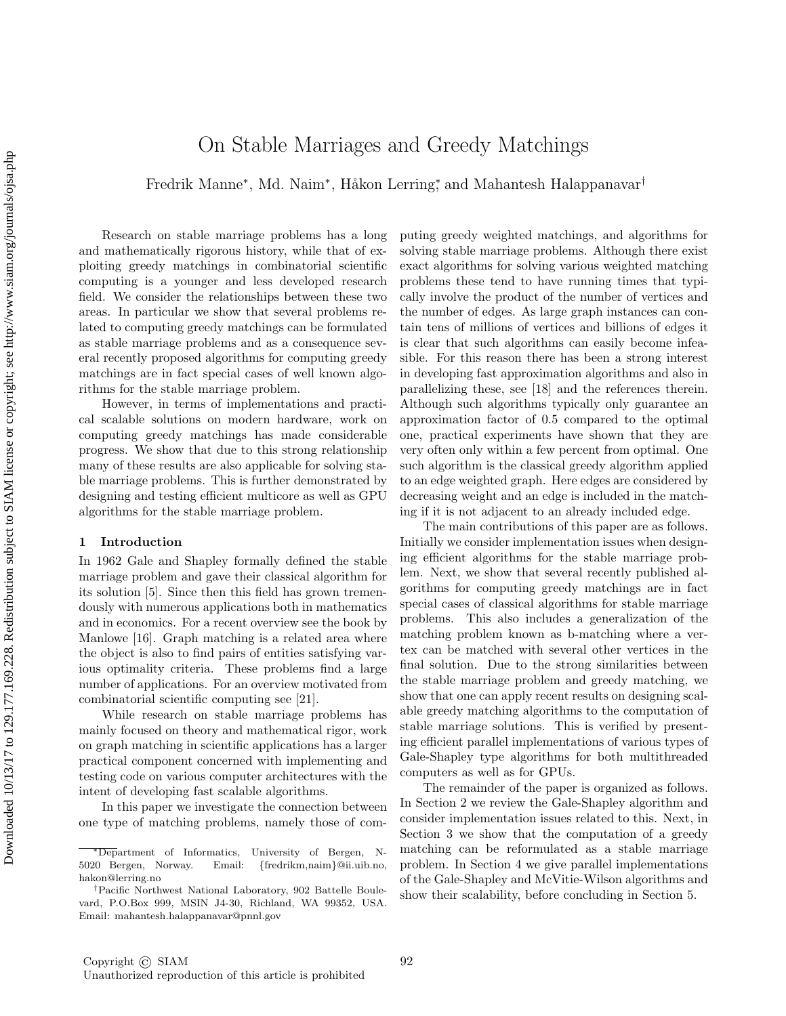# On Stable Marriages and Greedy Matchings

Fredrik Manne<sup>∗</sup>, Md. Naim<sup>∗</sup>, Håkon Lerring<sup>\*</sup>, and Mahantesh Halappanavar<sup>†</sup>

Research on stable marriage problems has a long and mathematically rigorous history, while that of exploiting greedy matchings in combinatorial scientific computing is a younger and less developed research field. We consider the relationships between these two areas. In particular we show that several problems related to computing greedy matchings can be formulated as stable marriage problems and as a consequence several recently proposed algorithms for computing greedy matchings are in fact special cases of well known algorithms for the stable marriage problem.

However, in terms of implementations and practical scalable solutions on modern hardware, work on computing greedy matchings has made considerable progress. We show that due to this strong relationship many of these results are also applicable for solving stable marriage problems. This is further demonstrated by designing and testing efficient multicore as well as GPU algorithms for the stable marriage problem.

# 1 Introduction

In 1962 Gale and Shapley formally defined the stable marriage problem and gave their classical algorithm for its solution [5]. Since then this field has grown tremendously with numerous applications both in mathematics and in economics. For a recent overview see the book by Manlowe [16]. Graph matching is a related area where the object is also to find pairs of entities satisfying various optimality criteria. These problems find a large number of applications. For an overview motivated from combinatorial scientific computing see [21].

While research on stable marriage problems has mainly focused on theory and mathematical rigor, work on graph matching in scientific applications has a larger practical component concerned with implementing and testing code on various computer architectures with the intent of developing fast scalable algorithms.

In this paper we investigate the connection between one type of matching problems, namely those of computing greedy weighted matchings, and algorithms for solving stable marriage problems. Although there exist exact algorithms for solving various weighted matching problems these tend to have running times that typically involve the product of the number of vertices and the number of edges. As large graph instances can contain tens of millions of vertices and billions of edges it is clear that such algorithms can easily become infeasible. For this reason there has been a strong interest in developing fast approximation algorithms and also in parallelizing these, see [18] and the references therein. Although such algorithms typically only guarantee an approximation factor of 0.5 compared to the optimal one, practical experiments have shown that they are very often only within a few percent from optimal. One such algorithm is the classical greedy algorithm applied to an edge weighted graph. Here edges are considered by decreasing weight and an edge is included in the matching if it is not adjacent to an already included edge.

The main contributions of this paper are as follows. Initially we consider implementation issues when designing efficient algorithms for the stable marriage problem. Next, we show that several recently published algorithms for computing greedy matchings are in fact special cases of classical algorithms for stable marriage problems. This also includes a generalization of the matching problem known as b-matching where a vertex can be matched with several other vertices in the final solution. Due to the strong similarities between the stable marriage problem and greedy matching, we show that one can apply recent results on designing scalable greedy matching algorithms to the computation of stable marriage solutions. This is verified by presenting efficient parallel implementations of various types of Gale-Shapley type algorithms for both multithreaded computers as well as for GPUs.

The remainder of the paper is organized as follows. In Section 2 we review the Gale-Shapley algorithm and consider implementation issues related to this. Next, in Section 3 we show that the computation of a greedy matching can be reformulated as a stable marriage problem. In Section 4 we give parallel implementations of the Gale-Shapley and McVitie-Wilson algorithms and show their scalability, before concluding in Section 5.

<sup>∗</sup>Department of Informatics, University of Bergen, N-5020 Bergen, Norway. Email: {fredrikm,naim}@ii.uib.no, hakon@lerring.no

<sup>†</sup>Pacific Northwest National Laboratory, 902 Battelle Boulevard, P.O.Box 999, MSIN J4-30, Richland, WA 99352, USA. Email: mahantesh.halappanavar@pnnl.gov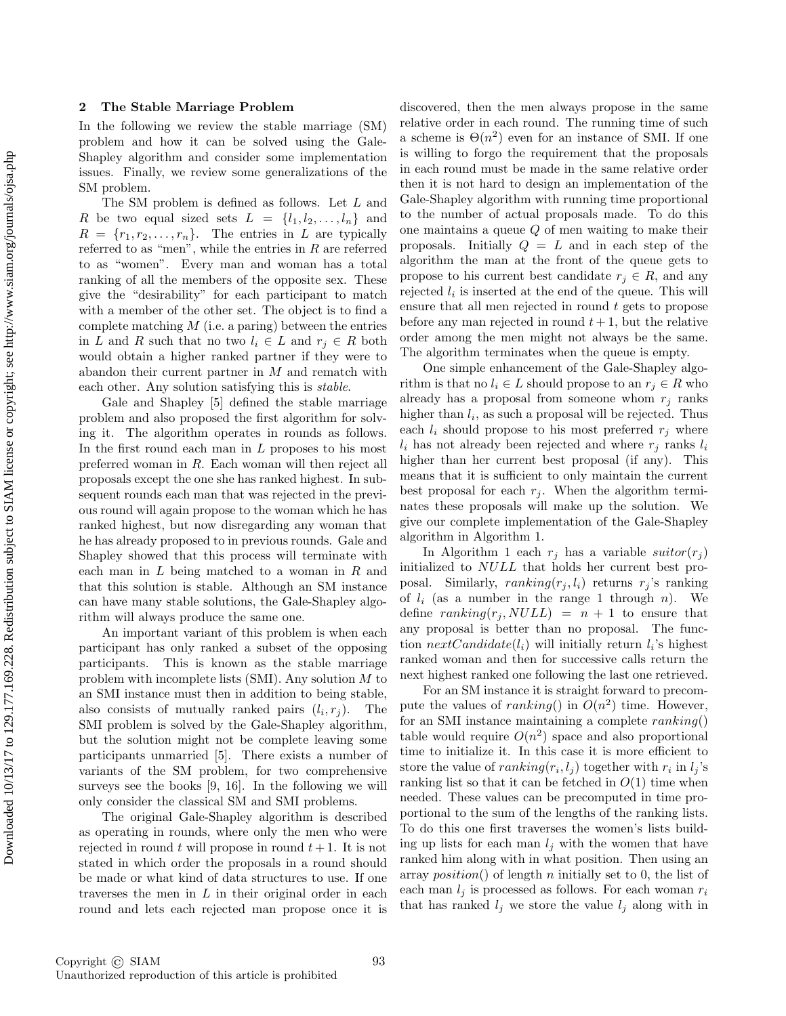#### 2 The Stable Marriage Problem

In the following we review the stable marriage (SM) problem and how it can be solved using the Gale-Shapley algorithm and consider some implementation issues. Finally, we review some generalizations of the SM problem.

The SM problem is defined as follows. Let L and R be two equal sized sets  $L = \{l_1, l_2, \ldots, l_n\}$  and  $R = \{r_1, r_2, \ldots, r_n\}$ . The entries in L are typically referred to as "men", while the entries in  $R$  are referred to as "women". Every man and woman has a total ranking of all the members of the opposite sex. These give the "desirability" for each participant to match with a member of the other set. The object is to find a complete matching  $M$  (i.e. a paring) between the entries in L and R such that no two  $l_i \in L$  and  $r_i \in R$  both would obtain a higher ranked partner if they were to abandon their current partner in M and rematch with each other. Any solution satisfying this is stable.

Gale and Shapley [5] defined the stable marriage problem and also proposed the first algorithm for solving it. The algorithm operates in rounds as follows. In the first round each man in L proposes to his most preferred woman in R. Each woman will then reject all proposals except the one she has ranked highest. In subsequent rounds each man that was rejected in the previous round will again propose to the woman which he has ranked highest, but now disregarding any woman that he has already proposed to in previous rounds. Gale and Shapley showed that this process will terminate with each man in L being matched to a woman in R and that this solution is stable. Although an SM instance can have many stable solutions, the Gale-Shapley algorithm will always produce the same one.

An important variant of this problem is when each participant has only ranked a subset of the opposing participants. This is known as the stable marriage problem with incomplete lists (SMI). Any solution M to an SMI instance must then in addition to being stable, also consists of mutually ranked pairs  $(l_i, r_j)$ . The SMI problem is solved by the Gale-Shapley algorithm, but the solution might not be complete leaving some participants unmarried [5]. There exists a number of variants of the SM problem, for two comprehensive surveys see the books [9, 16]. In the following we will only consider the classical SM and SMI problems.

The original Gale-Shapley algorithm is described as operating in rounds, where only the men who were rejected in round t will propose in round  $t + 1$ . It is not stated in which order the proposals in a round should be made or what kind of data structures to use. If one traverses the men in  $L$  in their original order in each round and lets each rejected man propose once it is discovered, then the men always propose in the same relative order in each round. The running time of such a scheme is  $\Theta(n^2)$  even for an instance of SMI. If one is willing to forgo the requirement that the proposals in each round must be made in the same relative order then it is not hard to design an implementation of the Gale-Shapley algorithm with running time proportional to the number of actual proposals made. To do this one maintains a queue  $Q$  of men waiting to make their proposals. Initially  $Q = L$  and in each step of the algorithm the man at the front of the queue gets to propose to his current best candidate  $r_i \in R$ , and any rejected  $l_i$  is inserted at the end of the queue. This will ensure that all men rejected in round  $t$  gets to propose before any man rejected in round  $t + 1$ , but the relative order among the men might not always be the same. The algorithm terminates when the queue is empty.

One simple enhancement of the Gale-Shapley algorithm is that no  $l_i \in L$  should propose to an  $r_i \in R$  who already has a proposal from someone whom  $r_i$  ranks higher than  $l_i$ , as such a proposal will be rejected. Thus each  $l_i$  should propose to his most preferred  $r_j$  where  $l_i$  has not already been rejected and where  $r_i$  ranks  $l_i$ higher than her current best proposal (if any). This means that it is sufficient to only maintain the current best proposal for each  $r_i$ . When the algorithm terminates these proposals will make up the solution. We give our complete implementation of the Gale-Shapley algorithm in Algorithm 1.

In Algorithm 1 each  $r_j$  has a variable suitor( $r_j$ ) initialized to NULL that holds her current best proposal. Similarly,  $ranking(r_j, l_i)$  returns  $r_j$ 's ranking of  $l_i$  (as a number in the range 1 through *n*). We define  $ranking(r_j, NULL) = n + 1$  to ensure that any proposal is better than no proposal. The function  $nextCandidate(l_i)$  will initially return  $l_i$ 's highest ranked woman and then for successive calls return the next highest ranked one following the last one retrieved.

For an SM instance it is straight forward to precompute the values of  $ranking()$  in  $O(n^2)$  time. However, for an SMI instance maintaining a complete  $ranking()$ table would require  $O(n^2)$  space and also proportional time to initialize it. In this case it is more efficient to store the value of  $ranking(r_i, l_j)$  together with  $r_i$  in  $l_j$ 's ranking list so that it can be fetched in  $O(1)$  time when needed. These values can be precomputed in time proportional to the sum of the lengths of the ranking lists. To do this one first traverses the women's lists building up lists for each man  $l_j$  with the women that have ranked him along with in what position. Then using an array  $position()$  of length n initially set to 0, the list of each man  $l_i$  is processed as follows. For each woman  $r_i$ that has ranked  $l_j$  we store the value  $l_j$  along with in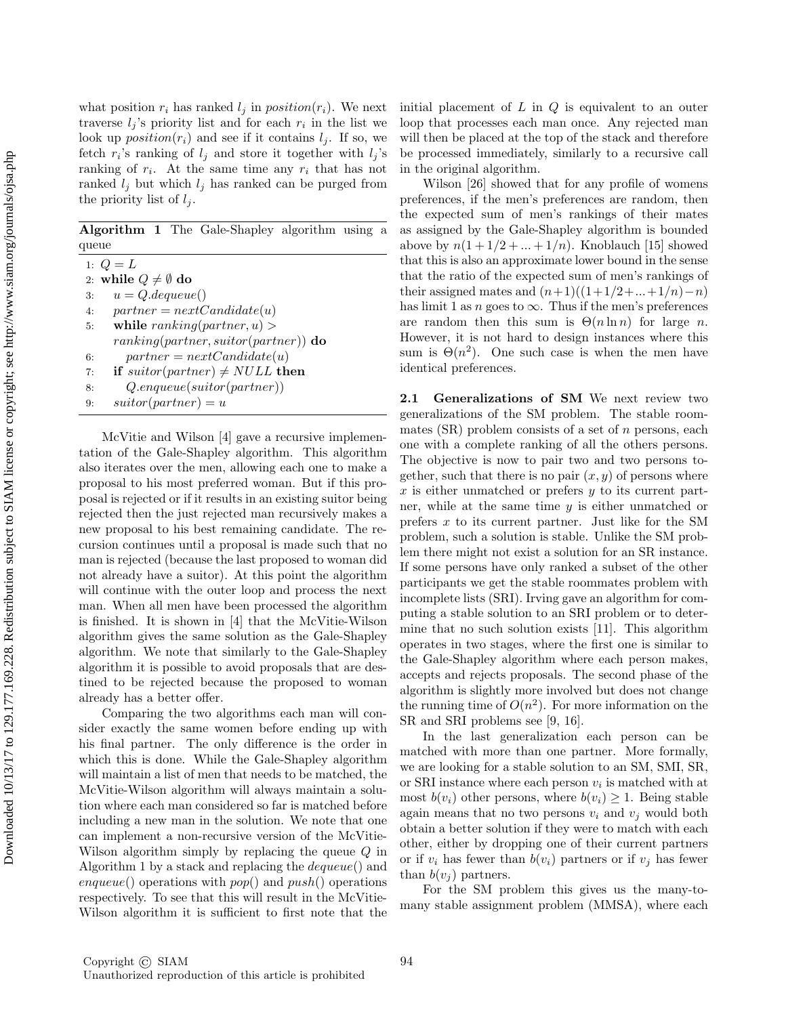what position  $r_i$  has ranked  $l_i$  in  $position(r_i)$ . We next traverse  $l_j$ 's priority list and for each  $r_i$  in the list we look up  $position(r_i)$  and see if it contains  $l_i$ . If so, we fetch  $r_i$ 's ranking of  $l_j$  and store it together with  $l_j$ 's ranking of  $r_i$ . At the same time any  $r_i$  that has not ranked  $l_i$  but which  $l_i$  has ranked can be purged from the priority list of  $l_i$ .

Algorithm 1 The Gale-Shapley algorithm using a queue

1:  $Q = L$ 2: while  $Q \neq \emptyset$  do<br>3:  $u = Q$ . dequeu  $u = Q$ .dequeue() 4:  $partner = nextCandidate(u)$ 5: while  $ranking(partner, u)$ ranking(partner, suitor(partner)) do 6:  $partner = nextCandidate(u)$ 7: **if**  $suitor(partener) \neq NULL$  then<br>8: Q.enqueue(suitor(partner)) 8: Q.enqueue(suitor(partner)) 9:  $suitor(partner) = u$ 

McVitie and Wilson [4] gave a recursive implementation of the Gale-Shapley algorithm. This algorithm also iterates over the men, allowing each one to make a proposal to his most preferred woman. But if this proposal is rejected or if it results in an existing suitor being rejected then the just rejected man recursively makes a new proposal to his best remaining candidate. The recursion continues until a proposal is made such that no man is rejected (because the last proposed to woman did not already have a suitor). At this point the algorithm will continue with the outer loop and process the next man. When all men have been processed the algorithm is finished. It is shown in [4] that the McVitie-Wilson algorithm gives the same solution as the Gale-Shapley algorithm. We note that similarly to the Gale-Shapley algorithm it is possible to avoid proposals that are destined to be rejected because the proposed to woman already has a better offer.

Comparing the two algorithms each man will consider exactly the same women before ending up with his final partner. The only difference is the order in which this is done. While the Gale-Shapley algorithm will maintain a list of men that needs to be matched, the McVitie-Wilson algorithm will always maintain a solution where each man considered so far is matched before including a new man in the solution. We note that one can implement a non-recursive version of the McVitie-Wilson algorithm simply by replacing the queue Q in Algorithm 1 by a stack and replacing the dequeue() and enqueue() operations with  $pop()$  and  $push()$  operations respectively. To see that this will result in the McVitie-Wilson algorithm it is sufficient to first note that the

initial placement of  $L$  in  $Q$  is equivalent to an outer loop that processes each man once. Any rejected man will then be placed at the top of the stack and therefore be processed immediately, similarly to a recursive call in the original algorithm.

Wilson [26] showed that for any profile of womens preferences, if the men's preferences are random, then the expected sum of men's rankings of their mates as assigned by the Gale-Shapley algorithm is bounded above by  $n(1+1/2+\ldots+1/n)$ . Knoblauch [15] showed that this is also an approximate lower bound in the sense that the ratio of the expected sum of men's rankings of their assigned mates and  $(n+1)((1+1/2+\ldots+1/n)-n)$ has limit 1 as n goes to  $\infty$ . Thus if the men's preferences are random then this sum is  $\Theta(n \ln n)$  for large *n*. However, it is not hard to design instances where this sum is  $\Theta(n^2)$ . One such case is when the men have identical preferences.

2.1 Generalizations of SM We next review two generalizations of the SM problem. The stable roommates  $(SR)$  problem consists of a set of n persons, each one with a complete ranking of all the others persons. The objective is now to pair two and two persons together, such that there is no pair  $(x, y)$  of persons where x is either unmatched or prefers  $y$  to its current partner, while at the same time  $y$  is either unmatched or prefers  $x$  to its current partner. Just like for the SM problem, such a solution is stable. Unlike the SM problem there might not exist a solution for an SR instance. If some persons have only ranked a subset of the other participants we get the stable roommates problem with incomplete lists (SRI). Irving gave an algorithm for computing a stable solution to an SRI problem or to determine that no such solution exists [11]. This algorithm operates in two stages, where the first one is similar to the Gale-Shapley algorithm where each person makes, accepts and rejects proposals. The second phase of the algorithm is slightly more involved but does not change the running time of  $O(n^2)$ . For more information on the SR and SRI problems see [9, 16].

In the last generalization each person can be matched with more than one partner. More formally, we are looking for a stable solution to an SM, SMI, SR, or SRI instance where each person  $v_i$  is matched with at most  $b(v_i)$  other persons, where  $b(v_i) \geq 1$ . Being stable again means that no two persons  $v_i$  and  $v_j$  would both obtain a better solution if they were to match with each other, either by dropping one of their current partners or if  $v_i$  has fewer than  $b(v_i)$  partners or if  $v_j$  has fewer than  $b(v_i)$  partners.

For the SM problem this gives us the many-tomany stable assignment problem (MMSA), where each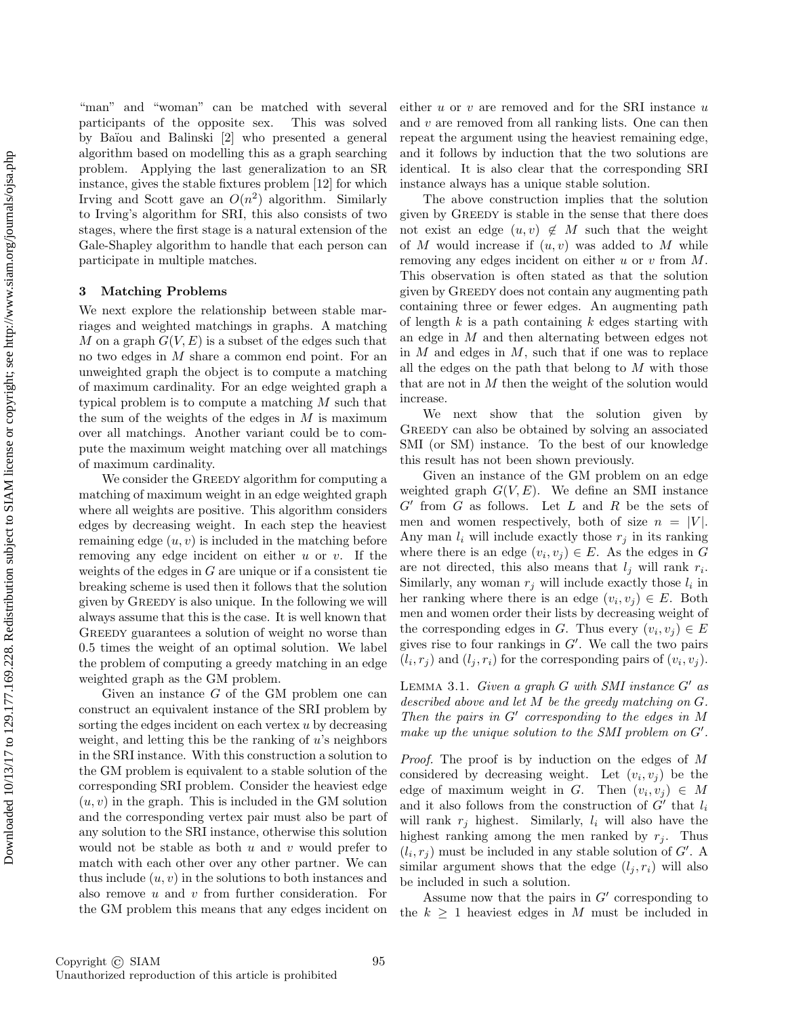"man" and "woman" can be matched with several participants of the opposite sex. This was solved by Ba¨ıou and Balinski [2] who presented a general algorithm based on modelling this as a graph searching problem. Applying the last generalization to an SR instance, gives the stable fixtures problem [12] for which Irving and Scott gave an  $O(n^2)$  algorithm. Similarly to Irving's algorithm for SRI, this also consists of two stages, where the first stage is a natural extension of the Gale-Shapley algorithm to handle that each person can participate in multiple matches.

#### 3 Matching Problems

We next explore the relationship between stable marriages and weighted matchings in graphs. A matching M on a graph  $G(V, E)$  is a subset of the edges such that no two edges in  $M$  share a common end point. For an unweighted graph the object is to compute a matching of maximum cardinality. For an edge weighted graph a typical problem is to compute a matching M such that the sum of the weights of the edges in  $M$  is maximum over all matchings. Another variant could be to compute the maximum weight matching over all matchings of maximum cardinality.

We consider the GREEDY algorithm for computing a matching of maximum weight in an edge weighted graph where all weights are positive. This algorithm considers edges by decreasing weight. In each step the heaviest remaining edge  $(u, v)$  is included in the matching before removing any edge incident on either  $u$  or  $v$ . If the weights of the edges in  $G$  are unique or if a consistent tie breaking scheme is used then it follows that the solution given by Greedy is also unique. In the following we will always assume that this is the case. It is well known that GREEDY guarantees a solution of weight no worse than 0.5 times the weight of an optimal solution. We label the problem of computing a greedy matching in an edge weighted graph as the GM problem.

Given an instance G of the GM problem one can construct an equivalent instance of the SRI problem by sorting the edges incident on each vertex  $u$  by decreasing weight, and letting this be the ranking of  $u$ 's neighbors in the SRI instance. With this construction a solution to the GM problem is equivalent to a stable solution of the corresponding SRI problem. Consider the heaviest edge  $(u, v)$  in the graph. This is included in the GM solution and the corresponding vertex pair must also be part of any solution to the SRI instance, otherwise this solution would not be stable as both  $u$  and  $v$  would prefer to match with each other over any other partner. We can thus include  $(u, v)$  in the solutions to both instances and also remove u and v from further consideration. For the GM problem this means that any edges incident on

either  $u$  or  $v$  are removed and for the SRI instance  $u$ and v are removed from all ranking lists. One can then repeat the argument using the heaviest remaining edge, and it follows by induction that the two solutions are identical. It is also clear that the corresponding SRI instance always has a unique stable solution.

The above construction implies that the solution given by Greedy is stable in the sense that there does not exist an edge  $(u, v) \notin M$  such that the weight of M would increase if  $(u, v)$  was added to M while removing any edges incident on either u or v from M. This observation is often stated as that the solution given by Greedy does not contain any augmenting path containing three or fewer edges. An augmenting path of length  $k$  is a path containing  $k$  edges starting with an edge in M and then alternating between edges not in  $M$  and edges in  $M$ , such that if one was to replace all the edges on the path that belong to  $M$  with those that are not in  $M$  then the weight of the solution would increase.

We next show that the solution given by GREEDY can also be obtained by solving an associated SMI (or SM) instance. To the best of our knowledge this result has not been shown previously.

Given an instance of the GM problem on an edge weighted graph  $G(V, E)$ . We define an SMI instance  $G'$  from  $G$  as follows. Let  $L$  and  $R$  be the sets of men and women respectively, both of size  $n = |V|$ . Any man  $l_i$  will include exactly those  $r_i$  in its ranking where there is an edge  $(v_i, v_j) \in E$ . As the edges in G are not directed, this also means that  $l_j$  will rank  $r_i$ . Similarly, any woman  $r_j$  will include exactly those  $l_i$  in her ranking where there is an edge  $(v_i, v_j) \in E$ . Both men and women order their lists by decreasing weight of the corresponding edges in G. Thus every  $(v_i, v_j) \in E$ gives rise to four rankings in  $G'$ . We call the two pairs  $(l_i, r_j)$  and  $(l_j, r_i)$  for the corresponding pairs of  $(v_i, v_j)$ .

LEMMA 3.1. Given a graph  $G$  with SMI instance  $G'$  as described above and let M be the greedy matching on G. Then the pairs in  $G'$  corresponding to the edges in M make up the unique solution to the SMI problem on  $G'$ .

Proof. The proof is by induction on the edges of M considered by decreasing weight. Let  $(v_i, v_j)$  be the edge of maximum weight in  $G$ . Then  $(v_i, v_j) \in M$ and it also follows from the construction of  $G'$  that  $l_i$ will rank  $r_i$  highest. Similarly,  $l_i$  will also have the highest ranking among the men ranked by  $r_j$ . Thus  $(l_i, r_j)$  must be included in any stable solution of G'. A similar argument shows that the edge  $(l_i, r_i)$  will also be included in such a solution.

Assume now that the pairs in  $G'$  corresponding to the  $k \geq 1$  heaviest edges in M must be included in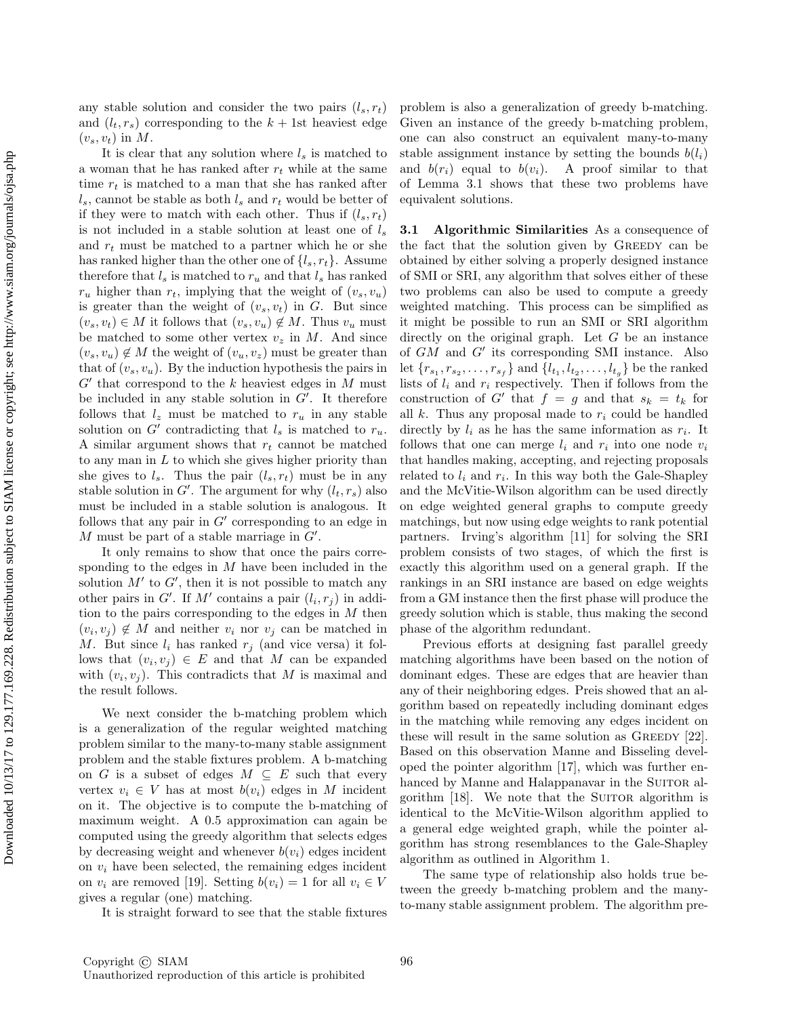any stable solution and consider the two pairs  $(l_s, r_t)$ and  $(l_t, r_s)$  corresponding to the  $k + 1$ st heaviest edge  $(v_s, v_t)$  in M.

It is clear that any solution where  $l_s$  is matched to a woman that he has ranked after  $r_t$  while at the same time  $r_t$  is matched to a man that she has ranked after  $l_s$ , cannot be stable as both  $l_s$  and  $r_t$  would be better of if they were to match with each other. Thus if  $(l_s, r_t)$ is not included in a stable solution at least one of  $l_s$ and  $r_t$  must be matched to a partner which he or she has ranked higher than the other one of  $\{l_s, r_t\}$ . Assume therefore that  $l_s$  is matched to  $r_u$  and that  $l_s$  has ranked  $r_u$  higher than  $r_t$ , implying that the weight of  $(v_s, v_u)$ is greater than the weight of  $(v_s, v_t)$  in G. But since  $(v_s, v_t) \in M$  it follows that  $(v_s, v_u) \notin M$ . Thus  $v_u$  must be matched to some other vertex  $v_z$  in M. And since  $(v_s, v_u) \notin M$  the weight of  $(v_u, v_z)$  must be greater than that of  $(v_s, v_u)$ . By the induction hypothesis the pairs in  $G'$  that correspond to the k heaviest edges in M must be included in any stable solution in  $G'$ . It therefore follows that  $l_z$  must be matched to  $r_u$  in any stable solution on  $G'$  contradicting that  $l_s$  is matched to  $r_u$ . A similar argument shows that  $r_t$  cannot be matched to any man in  $L$  to which she gives higher priority than she gives to  $l_s$ . Thus the pair  $(l_s, r_t)$  must be in any stable solution in  $G'$ . The argument for why  $(l_t, r_s)$  also must be included in a stable solution is analogous. It follows that any pair in  $G'$  corresponding to an edge in M must be part of a stable marriage in  $G'$ .

It only remains to show that once the pairs corresponding to the edges in  $M$  have been included in the solution  $M'$  to  $G'$ , then it is not possible to match any other pairs in G'. If M' contains a pair  $(l_i, r_j)$  in addition to the pairs corresponding to the edges in  $M$  then  $(v_i, v_j) \notin M$  and neither  $v_i$  nor  $v_j$  can be matched in M. But since  $l_i$  has ranked  $r_j$  (and vice versa) it follows that  $(v_i, v_j) \in E$  and that M can be expanded with  $(v_i, v_j)$ . This contradicts that M is maximal and the result follows.

We next consider the b-matching problem which is a generalization of the regular weighted matching problem similar to the many-to-many stable assignment problem and the stable fixtures problem. A b-matching on G is a subset of edges  $M \subseteq E$  such that every vertex  $v_i \in V$  has at most  $b(v_i)$  edges in M incident on it. The objective is to compute the b-matching of maximum weight. A 0.5 approximation can again be computed using the greedy algorithm that selects edges by decreasing weight and whenever  $b(v_i)$  edges incident on  $v_i$  have been selected, the remaining edges incident on  $v_i$  are removed [19]. Setting  $b(v_i) = 1$  for all  $v_i \in V$ gives a regular (one) matching.

It is straight forward to see that the stable fixtures

problem is also a generalization of greedy b-matching. Given an instance of the greedy b-matching problem, one can also construct an equivalent many-to-many stable assignment instance by setting the bounds  $b(l_i)$ and  $b(r_i)$  equal to  $b(v_i)$ . A proof similar to that of Lemma 3.1 shows that these two problems have equivalent solutions.

3.1 Algorithmic Similarities As a consequence of the fact that the solution given by GREEDY can be obtained by either solving a properly designed instance of SMI or SRI, any algorithm that solves either of these two problems can also be used to compute a greedy weighted matching. This process can be simplified as it might be possible to run an SMI or SRI algorithm directly on the original graph. Let  $G$  be an instance of  $GM$  and  $G'$  its corresponding SMI instance. Also let  ${r_{s_1}, r_{s_2}, \ldots, r_{s_f}}$  and  ${l_{t_1}, l_{t_2}, \ldots, l_{t_g}}$  be the ranked lists of  $l_i$  and  $r_i$  respectively. Then if follows from the construction of G' that  $f = g$  and that  $s_k = t_k$  for all  $k$ . Thus any proposal made to  $r_i$  could be handled directly by  $l_i$  as he has the same information as  $r_i$ . It follows that one can merge  $l_i$  and  $r_i$  into one node  $v_i$ that handles making, accepting, and rejecting proposals related to  $l_i$  and  $r_i$ . In this way both the Gale-Shapley and the McVitie-Wilson algorithm can be used directly on edge weighted general graphs to compute greedy matchings, but now using edge weights to rank potential partners. Irving's algorithm [11] for solving the SRI problem consists of two stages, of which the first is exactly this algorithm used on a general graph. If the rankings in an SRI instance are based on edge weights from a GM instance then the first phase will produce the greedy solution which is stable, thus making the second phase of the algorithm redundant.

Previous efforts at designing fast parallel greedy matching algorithms have been based on the notion of dominant edges. These are edges that are heavier than any of their neighboring edges. Preis showed that an algorithm based on repeatedly including dominant edges in the matching while removing any edges incident on these will result in the same solution as GREEDY [22]. Based on this observation Manne and Bisseling developed the pointer algorithm [17], which was further enhanced by Manne and Halappanavar in the SUITOR algorithm  $[18]$ . We note that the SUITOR algorithm is identical to the McVitie-Wilson algorithm applied to a general edge weighted graph, while the pointer algorithm has strong resemblances to the Gale-Shapley algorithm as outlined in Algorithm 1.

The same type of relationship also holds true between the greedy b-matching problem and the manyto-many stable assignment problem. The algorithm pre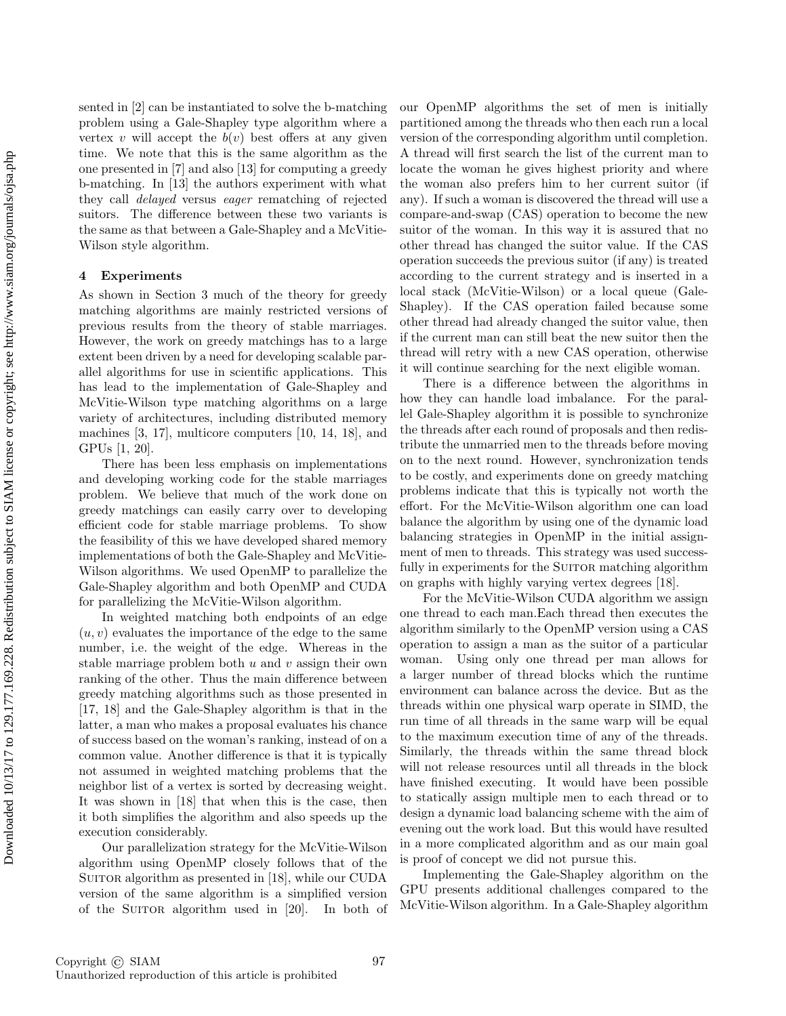sented in [2] can be instantiated to solve the b-matching problem using a Gale-Shapley type algorithm where a vertex v will accept the  $b(v)$  best offers at any given time. We note that this is the same algorithm as the one presented in [7] and also [13] for computing a greedy b-matching. In [13] the authors experiment with what they call delayed versus eager rematching of rejected suitors. The difference between these two variants is the same as that between a Gale-Shapley and a McVitie-Wilson style algorithm.

## 4 Experiments

As shown in Section 3 much of the theory for greedy matching algorithms are mainly restricted versions of previous results from the theory of stable marriages. However, the work on greedy matchings has to a large extent been driven by a need for developing scalable parallel algorithms for use in scientific applications. This has lead to the implementation of Gale-Shapley and McVitie-Wilson type matching algorithms on a large variety of architectures, including distributed memory machines [3, 17], multicore computers [10, 14, 18], and GPUs [1, 20].

There has been less emphasis on implementations and developing working code for the stable marriages problem. We believe that much of the work done on greedy matchings can easily carry over to developing efficient code for stable marriage problems. To show the feasibility of this we have developed shared memory implementations of both the Gale-Shapley and McVitie-Wilson algorithms. We used OpenMP to parallelize the Gale-Shapley algorithm and both OpenMP and CUDA for parallelizing the McVitie-Wilson algorithm.

In weighted matching both endpoints of an edge  $(u, v)$  evaluates the importance of the edge to the same number, i.e. the weight of the edge. Whereas in the stable marriage problem both  $u$  and  $v$  assign their own ranking of the other. Thus the main difference between greedy matching algorithms such as those presented in [17, 18] and the Gale-Shapley algorithm is that in the latter, a man who makes a proposal evaluates his chance of success based on the woman's ranking, instead of on a common value. Another difference is that it is typically not assumed in weighted matching problems that the neighbor list of a vertex is sorted by decreasing weight. It was shown in [18] that when this is the case, then it both simplifies the algorithm and also speeds up the execution considerably.

Our parallelization strategy for the McVitie-Wilson algorithm using OpenMP closely follows that of the SUITOR algorithm as presented in [18], while our CUDA version of the same algorithm is a simplified version of the SUITOR algorithm used in [20]. In both of our OpenMP algorithms the set of men is initially partitioned among the threads who then each run a local version of the corresponding algorithm until completion. A thread will first search the list of the current man to locate the woman he gives highest priority and where the woman also prefers him to her current suitor (if any). If such a woman is discovered the thread will use a compare-and-swap (CAS) operation to become the new suitor of the woman. In this way it is assured that no other thread has changed the suitor value. If the CAS operation succeeds the previous suitor (if any) is treated according to the current strategy and is inserted in a local stack (McVitie-Wilson) or a local queue (Gale-Shapley). If the CAS operation failed because some other thread had already changed the suitor value, then if the current man can still beat the new suitor then the thread will retry with a new CAS operation, otherwise it will continue searching for the next eligible woman.

There is a difference between the algorithms in how they can handle load imbalance. For the parallel Gale-Shapley algorithm it is possible to synchronize the threads after each round of proposals and then redistribute the unmarried men to the threads before moving on to the next round. However, synchronization tends to be costly, and experiments done on greedy matching problems indicate that this is typically not worth the effort. For the McVitie-Wilson algorithm one can load balance the algorithm by using one of the dynamic load balancing strategies in OpenMP in the initial assignment of men to threads. This strategy was used successfully in experiments for the SUITOR matching algorithm on graphs with highly varying vertex degrees [18].

For the McVitie-Wilson CUDA algorithm we assign one thread to each man.Each thread then executes the algorithm similarly to the OpenMP version using a CAS operation to assign a man as the suitor of a particular woman. Using only one thread per man allows for a larger number of thread blocks which the runtime environment can balance across the device. But as the threads within one physical warp operate in SIMD, the run time of all threads in the same warp will be equal to the maximum execution time of any of the threads. Similarly, the threads within the same thread block will not release resources until all threads in the block have finished executing. It would have been possible to statically assign multiple men to each thread or to design a dynamic load balancing scheme with the aim of evening out the work load. But this would have resulted in a more complicated algorithm and as our main goal is proof of concept we did not pursue this.

Implementing the Gale-Shapley algorithm on the GPU presents additional challenges compared to the McVitie-Wilson algorithm. In a Gale-Shapley algorithm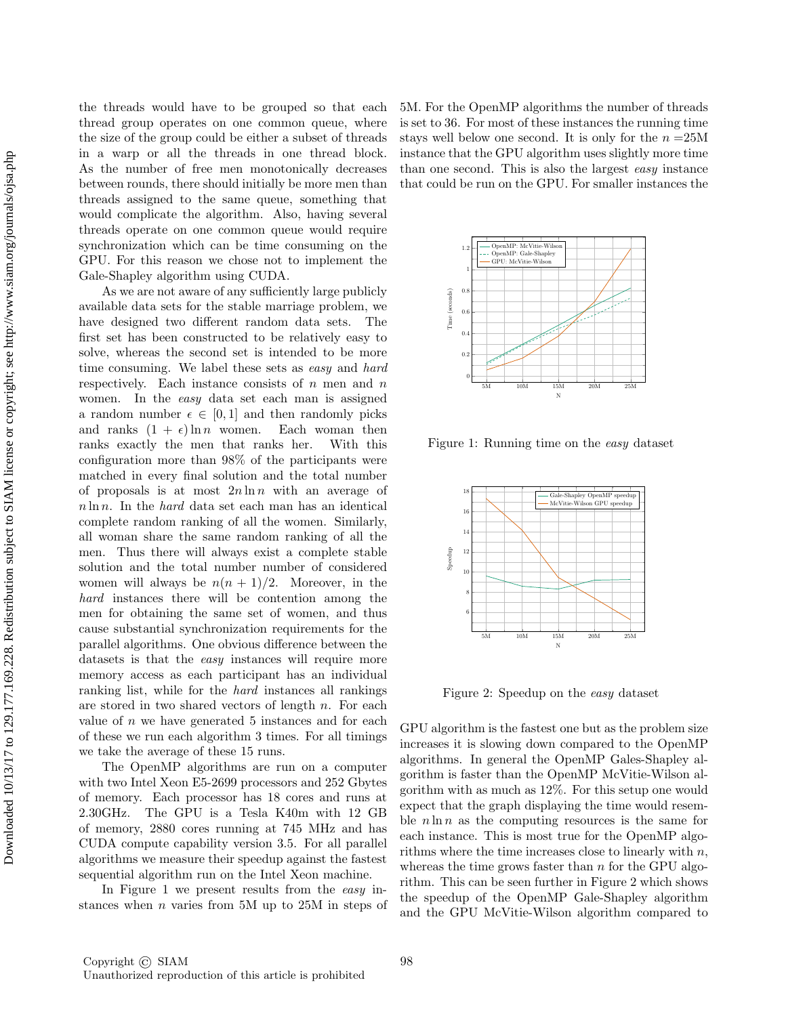Downloaded 10/13/17 to 129.177.169.228. Redistribution subject to SIAM license or copyright; see http://www.siam.org/journals/ojsa.php Downloaded 10/13/17 to 129.177.169.228. Redistribution subject to SIAM license or copyright; see http://www.siam.org/journals/ojsa.php the threads would have to be grouped so that each thread group operates on one common queue, where the size of the group could be either a subset of threads in a warp or all the threads in one thread block. As the number of free men monotonically decreases between rounds, there should initially be more men than threads assigned to the same queue, something that would complicate the algorithm. Also, having several threads operate on one common queue would require synchronization which can be time consuming on the GPU. For this reason we chose not to implement the Gale-Shapley algorithm using CUDA.

As we are not aware of any sufficiently large publicly available data sets for the stable marriage problem, we have designed two different random data sets. The first set has been constructed to be relatively easy to solve, whereas the second set is intended to be more time consuming. We label these sets as easy and hard respectively. Each instance consists of  $n$  men and  $n$ women. In the *easy* data set each man is assigned a random number  $\epsilon \in [0,1]$  and then randomly picks<br>and ranks  $(1 + \epsilon) \ln n$  women. Each woman then and ranks  $(1 + \epsilon) \ln n$  women. ranks exactly the men that ranks her. With this configuration more than 98% of the participants were matched in every final solution and the total number of proposals is at most  $2n \ln n$  with an average of  $n \ln n$ . In the *hard* data set each man has an identical complete random ranking of all the women. Similarly, all woman share the same random ranking of all the men. Thus there will always exist a complete stable solution and the total number number of considered women will always be  $n(n + 1)/2$ . Moreover, in the hard instances there will be contention among the men for obtaining the same set of women, and thus cause substantial synchronization requirements for the parallel algorithms. One obvious difference between the datasets is that the easy instances will require more memory access as each participant has an individual ranking list, while for the hard instances all rankings are stored in two shared vectors of length  $n$ . For each value of  $n$  we have generated 5 instances and for each of these we run each algorithm 3 times. For all timings we take the average of these 15 runs.

The OpenMP algorithms are run on a computer with two Intel Xeon E5-2699 processors and 252 Gbytes of memory. Each processor has 18 cores and runs at 2.30GHz. The GPU is a Tesla K40m with 12 GB of memory, 2880 cores running at 745 MHz and has CUDA compute capability version 3.5. For all parallel algorithms we measure their speedup against the fastest sequential algorithm run on the Intel Xeon machine.

In Figure 1 we present results from the easy instances when n varies from 5M up to 25M in steps of 5M. For the OpenMP algorithms the number of threads is set to 36. For most of these instances the running time stays well below one second. It is only for the  $n = 25M$ instance that the GPU algorithm uses slightly more time than one second. This is also the largest easy instance that could be run on the GPU. For smaller instances the



Figure 1: Running time on the *easy* dataset



Figure 2: Speedup on the easy dataset

GPU algorithm is the fastest one but as the problem size increases it is slowing down compared to the OpenMP algorithms. In general the OpenMP Gales-Shapley algorithm is faster than the OpenMP McVitie-Wilson algorithm with as much as 12%. For this setup one would expect that the graph displaying the time would resemble  $n \ln n$  as the computing resources is the same for each instance. This is most true for the OpenMP algorithms where the time increases close to linearly with  $n$ , whereas the time grows faster than  $n$  for the GPU algorithm. This can be seen further in Figure 2 which shows the speedup of the OpenMP Gale-Shapley algorithm and the GPU McVitie-Wilson algorithm compared to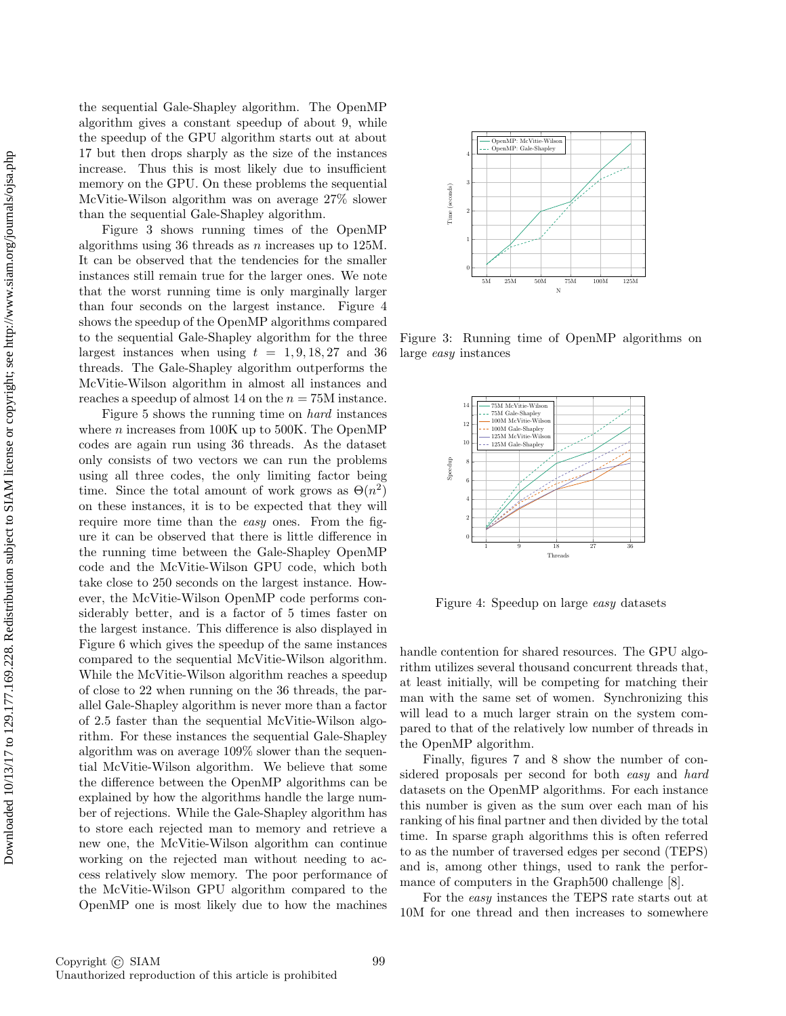the sequential Gale-Shapley algorithm. The OpenMP algorithm gives a constant speedup of about 9, while the speedup of the GPU algorithm starts out at about 17 but then drops sharply as the size of the instances increase. Thus this is most likely due to insufficient memory on the GPU. On these problems the sequential McVitie-Wilson algorithm was on average 27% slower than the sequential Gale-Shapley algorithm.

Figure 3 shows running times of the OpenMP algorithms using 36 threads as  $n$  increases up to 125M. It can be observed that the tendencies for the smaller instances still remain true for the larger ones. We note that the worst running time is only marginally larger than four seconds on the largest instance. Figure 4 shows the speedup of the OpenMP algorithms compared to the sequential Gale-Shapley algorithm for the three largest instances when using  $t = 1, 9, 18, 27$  and 36 threads. The Gale-Shapley algorithm outperforms the McVitie-Wilson algorithm in almost all instances and reaches a speedup of almost 14 on the  $n = 75M$  instance.

Figure 5 shows the running time on hard instances where  $n$  increases from 100K up to 500K. The OpenMP codes are again run using 36 threads. As the dataset only consists of two vectors we can run the problems using all three codes, the only limiting factor being time. Since the total amount of work grows as  $\Theta(n^2)$ on these instances, it is to be expected that they will require more time than the easy ones. From the figure it can be observed that there is little difference in the running time between the Gale-Shapley OpenMP code and the McVitie-Wilson GPU code, which both take close to 250 seconds on the largest instance. However, the McVitie-Wilson OpenMP code performs considerably better, and is a factor of 5 times faster on the largest instance. This difference is also displayed in Figure 6 which gives the speedup of the same instances compared to the sequential McVitie-Wilson algorithm. While the McVitie-Wilson algorithm reaches a speedup of close to 22 when running on the 36 threads, the parallel Gale-Shapley algorithm is never more than a factor of 2.5 faster than the sequential McVitie-Wilson algorithm. For these instances the sequential Gale-Shapley algorithm was on average 109% slower than the sequential McVitie-Wilson algorithm. We believe that some the difference between the OpenMP algorithms can be explained by how the algorithms handle the large number of rejections. While the Gale-Shapley algorithm has to store each rejected man to memory and retrieve a new one, the McVitie-Wilson algorithm can continue working on the rejected man without needing to access relatively slow memory. The poor performance of the McVitie-Wilson GPU algorithm compared to the OpenMP one is most likely due to how the machines



Figure 3: Running time of OpenMP algorithms on large easy instances



Figure 4: Speedup on large easy datasets

handle contention for shared resources. The GPU algorithm utilizes several thousand concurrent threads that, at least initially, will be competing for matching their man with the same set of women. Synchronizing this will lead to a much larger strain on the system compared to that of the relatively low number of threads in the OpenMP algorithm.

Finally, figures 7 and 8 show the number of considered proposals per second for both easy and hard datasets on the OpenMP algorithms. For each instance this number is given as the sum over each man of his ranking of his final partner and then divided by the total time. In sparse graph algorithms this is often referred to as the number of traversed edges per second (TEPS) and is, among other things, used to rank the performance of computers in the Graph500 challenge [8].

For the easy instances the TEPS rate starts out at 10M for one thread and then increases to somewhere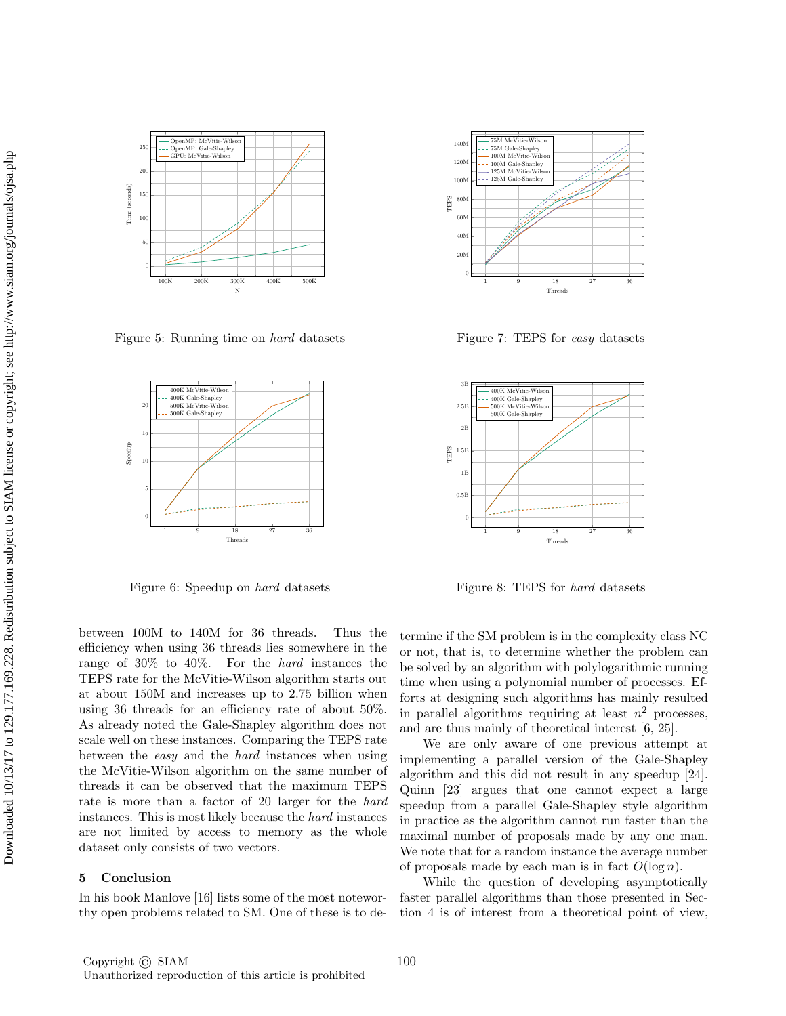

Figure 5: Running time on *hard* datasets



Figure 6: Speedup on *hard* datasets

between 100M to 140M for 36 threads. Thus the efficiency when using 36 threads lies somewhere in the range of 30% to 40%. For the hard instances the TEPS rate for the McVitie-Wilson algorithm starts out at about 150M and increases up to 2.75 billion when using 36 threads for an efficiency rate of about 50%. As already noted the Gale-Shapley algorithm does not scale well on these instances. Comparing the TEPS rate between the easy and the hard instances when using the McVitie-Wilson algorithm on the same number of threads it can be observed that the maximum TEPS rate is more than a factor of 20 larger for the hard instances. This is most likely because the hard instances are not limited by access to memory as the whole dataset only consists of two vectors.

## 5 Conclusion

In his book Manlove [16] lists some of the most noteworthy open problems related to SM. One of these is to de-



Figure 7: TEPS for *easy* datasets



Figure 8: TEPS for *hard* datasets

termine if the SM problem is in the complexity class NC or not, that is, to determine whether the problem can be solved by an algorithm with polylogarithmic running time when using a polynomial number of processes. Efforts at designing such algorithms has mainly resulted in parallel algorithms requiring at least  $n^2$  processes, and are thus mainly of theoretical interest [6, 25].

We are only aware of one previous attempt at implementing a parallel version of the Gale-Shapley algorithm and this did not result in any speedup [24]. Quinn [23] argues that one cannot expect a large speedup from a parallel Gale-Shapley style algorithm in practice as the algorithm cannot run faster than the maximal number of proposals made by any one man. We note that for a random instance the average number of proposals made by each man is in fact  $O(\log n)$ .

While the question of developing asymptotically faster parallel algorithms than those presented in Section 4 is of interest from a theoretical point of view,